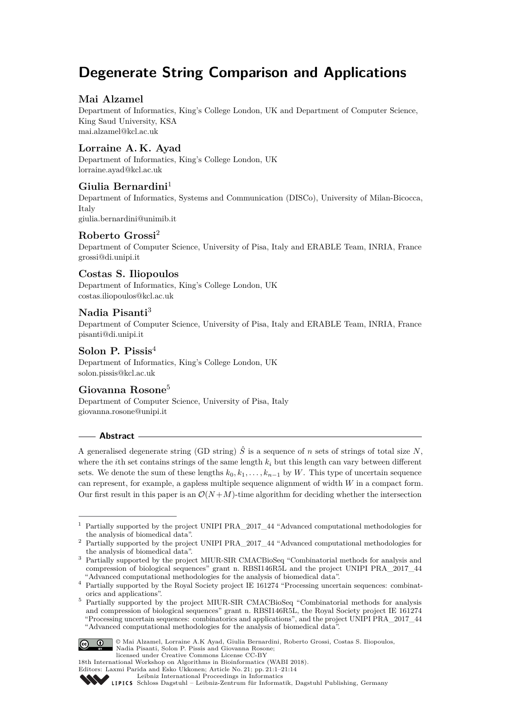# **Degenerate String Comparison and Applications**

# **Mai Alzamel**

Department of Informatics, King's College London, UK and Department of Computer Science, King Saud University, KSA [mai.alzamel@kcl.ac.uk](mailto:mai.alzamel@kcl.ac.uk)

# **Lorraine A. K. Ayad**

Department of Informatics, King's College London, UK [lorraine.ayad@kcl.ac.uk](mailto:lorraine.ayad@kcl.ac.uk)

# **Giulia Bernardini**<sup>1</sup>

Department of Informatics, Systems and Communication (DISCo), University of Milan-Bicocca, Italy [giulia.bernardini@unimib.it](mailto:giulia.bernardini@unimib.it)

**Roberto Grossi**<sup>2</sup>

Department of Computer Science, University of Pisa, Italy and ERABLE Team, INRIA, France [grossi@di.unipi.it](mailto:grossi@di.unipi.it)

# **Costas S. Iliopoulos**

Department of Informatics, King's College London, UK [costas.iliopoulos@kcl.ac.uk](mailto:costas.iliopoulos@kcl.ac.uk)

# **Nadia Pisanti**<sup>3</sup>

Department of Computer Science, University of Pisa, Italy and ERABLE Team, INRIA, France [pisanti@di.unipi.it](mailto:pisanti@di.unipi.it)

## **Solon P. Pissis**<sup>4</sup>

Department of Informatics, King's College London, UK [solon.pissis@kcl.ac.uk](mailto:solon.pissis@kcl.ac.uk)

## **Giovanna Rosone**<sup>5</sup>

Department of Computer Science, University of Pisa, Italy [giovanna.rosone@unipi.it](mailto:giovanna.rosone@unipi.it)

## **Abstract**

A generalised degenerate string (GD string)  $\hat{S}$  is a sequence of *n* sets of strings of total size *N*, where the *i*th set contains strings of the same length *k<sup>i</sup>* but this length can vary between different sets. We denote the sum of these lengths  $k_0, k_1, \ldots, k_{n-1}$  by W. This type of uncertain sequence can represent, for example, a gapless multiple sequence alignment of width *W* in a compact form. Our first result in this paper is an  $\mathcal{O}(N+M)$ -time algorithm for deciding whether the intersection

Partially supported by the project MIUR-SIR CMACBioSeq "Combinatorial methods for analysis and compression of biological sequences" grant n. RBSI146R5L, the Royal Society project IE 161274 "Processing uncertain sequences: combinatorics and applications", and the project UNIPI PRA\_2017\_44 "Advanced computational methodologies for the analysis of biomedical data".



© Mai Alzamel, Lorraine A.K Ayad, Giulia Bernardini, Roberto Grossi, Costas S. Iliopoulos, Nadia Pisanti, Solon P. Pissis and Giovanna Rosone;

<sup>1</sup> Partially supported by the project UNIPI PRA\_2017\_44 "Advanced computational methodologies for the analysis of biomedical data".

<sup>2</sup> Partially supported by the project UNIPI PRA\_2017\_44 "Advanced computational methodologies for the analysis of biomedical data".

<sup>3</sup> Partially supported by the project MIUR-SIR CMACBioSeq "Combinatorial methods for analysis and compression of biological sequences" grant n. RBSI146R5L and the project UNIPI PRA\_2017\_44 "Advanced computational methodologies for the analysis of biomedical data".

<sup>4</sup> Partially supported by the Royal Society project IE 161274 "Processing uncertain sequences: combinatorics and applications".

licensed under Creative Commons License CC-BY 18th International Workshop on Algorithms in Bioinformatics (WABI 2018).

Editors: Laxmi Parida and Esko Ukkonen; Article No. 21; pp. 21:1–21[:14](#page-13-0) [Leibniz International Proceedings in Informatics](http://www.dagstuhl.de/lipics/)

[Schloss Dagstuhl – Leibniz-Zentrum für Informatik, Dagstuhl Publishing, Germany](http://www.dagstuhl.de)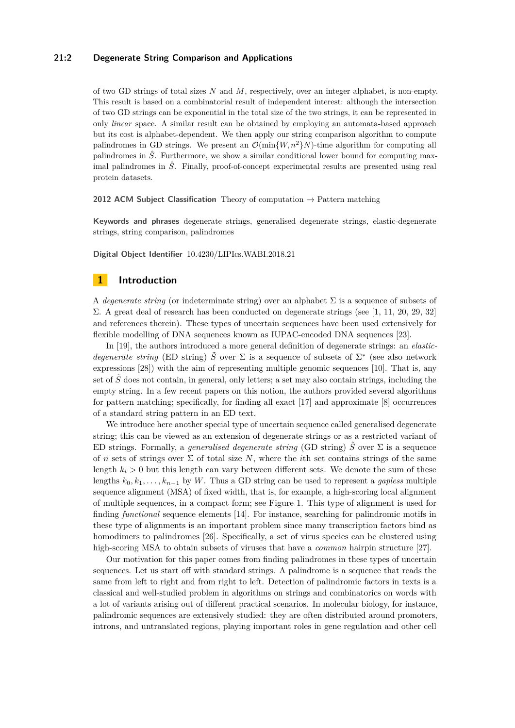## **21:2 Degenerate String Comparison and Applications**

of two GD strings of total sizes *N* and *M*, respectively, over an integer alphabet, is non-empty. This result is based on a combinatorial result of independent interest: although the intersection of two GD strings can be exponential in the total size of the two strings, it can be represented in only *linear* space. A similar result can be obtained by employing an automata-based approach but its cost is alphabet-dependent. We then apply our string comparison algorithm to compute palindromes in GD strings. We present an  $\mathcal{O}(\min\{W, n^2\}N)$ -time algorithm for computing all palindromes in  $\hat{S}$ . Furthermore, we show a similar conditional lower bound for computing maximal palindromes in  $\hat{S}$ . Finally, proof-of-concept experimental results are presented using real protein datasets.

**2012 ACM Subject Classification** Theory of computation → Pattern matching

**Keywords and phrases** degenerate strings, generalised degenerate strings, elastic-degenerate strings, string comparison, palindromes

**Digital Object Identifier** [10.4230/LIPIcs.WABI.2018.21](http://dx.doi.org/10.4230/LIPIcs.WABI.2018.21)

## **1 Introduction**

A *degenerate string* (or indeterminate string) over an alphabet Σ is a sequence of subsets of Σ. A great deal of research has been conducted on degenerate strings (see [\[1,](#page-11-0) [11,](#page-12-0) [20,](#page-12-1) [29,](#page-12-2) [32\]](#page-13-1) and references therein). These types of uncertain sequences have been used extensively for flexible modelling of DNA sequences known as IUPAC-encoded DNA sequences [\[23\]](#page-12-3).

In [\[19\]](#page-12-4), the authors introduced a more general definition of degenerate strings: an *elasticdegenerate string* (ED string)  $\tilde{S}$  over  $\Sigma$  is a sequence of subsets of  $\Sigma^*$  (see also network expressions [\[28\]](#page-12-5)) with the aim of representing multiple genomic sequences [\[10\]](#page-11-1). That is, any set of  $\tilde{S}$  does not contain, in general, only letters; a set may also contain strings, including the empty string. In a few recent papers on this notion, the authors provided several algorithms for pattern matching; specifically, for finding all exact [\[17\]](#page-12-6) and approximate [\[8\]](#page-11-2) occurrences of a standard string pattern in an ED text.

We introduce here another special type of uncertain sequence called generalised degenerate string; this can be viewed as an extension of degenerate strings or as a restricted variant of ED strings. Formally, a *generalised degenerate string* (GD string)  $\hat{S}$  over  $\Sigma$  is a sequence of *n* sets of strings over  $\Sigma$  of total size *N*, where the *i*th set contains strings of the same length  $k_i > 0$  but this length can vary between different sets. We denote the sum of these lengths  $k_0, k_1, \ldots, k_{n-1}$  by W. Thus a GD string can be used to represent a *gapless* multiple sequence alignment (MSA) of fixed width, that is, for example, a high-scoring local alignment of multiple sequences, in a compact form; see Figure [1.](#page-2-0) This type of alignment is used for finding *functional* sequence elements [\[14\]](#page-12-7). For instance, searching for palindromic motifs in these type of alignments is an important problem since many transcription factors bind as homodimers to palindromes [\[26\]](#page-12-8). Specifically, a set of virus species can be clustered using high-scoring MSA to obtain subsets of viruses that have a *common* hairpin structure [\[27\]](#page-12-9).

Our motivation for this paper comes from finding palindromes in these types of uncertain sequences. Let us start off with standard strings. A palindrome is a sequence that reads the same from left to right and from right to left. Detection of palindromic factors in texts is a classical and well-studied problem in algorithms on strings and combinatorics on words with a lot of variants arising out of different practical scenarios. In molecular biology, for instance, palindromic sequences are extensively studied: they are often distributed around promoters, introns, and untranslated regions, playing important roles in gene regulation and other cell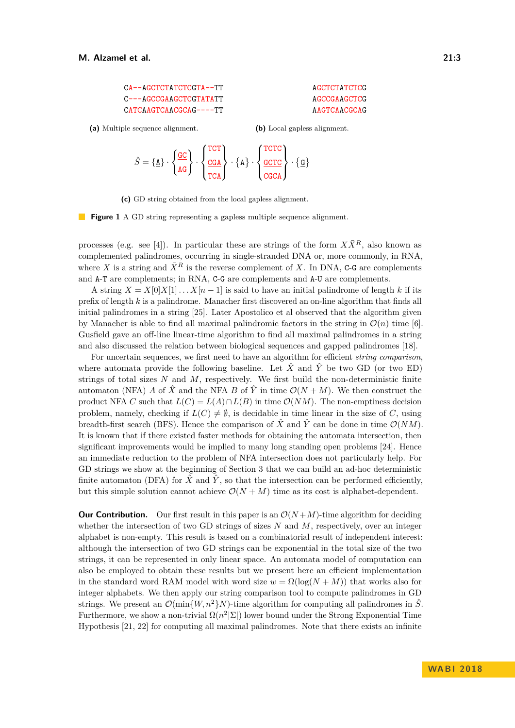<span id="page-2-0"></span>

| CA--AGCTCTATCTCGTA--TT | AGCTCTATCTCG |
|------------------------|--------------|
| C---AGCCGAAGCTCCTATATT | AGCCGAAGCTCG |
| CATCAAGTCAACGCAG----TT | AAGTCAACGCAG |

**(a)** Multiple sequence alignment.

**(b)** Local gapless alignment.

$$
\hat{S} = \{ \underline{A} \} \cdot \left\{ \frac{\underline{GC}}{AG} \right\} \cdot \left\{ \frac{\frac{TCT}{CGA}}{TCA} \right\} \cdot \{ \underline{A} \} \cdot \left\{ \frac{\frac{TCTC}{GCCA}}{CGCA} \right\} \cdot \{ \underline{G} \}
$$

**(c)** GD string obtained from the local gapless alignment.

**Figure 1** A GD string representing a gapless multiple sequence alignment.

processes (e.g. see [\[4\]](#page-11-3)). In particular these are strings of the form  $X\overline{X}^R$ , also known as complemented palindromes, occurring in single-stranded DNA or, more commonly, in RNA, where X is a string and  $\bar{X}^R$  is the reverse complement of X. In DNA, C-G are complements and A-T are complements; in RNA, C-G are complements and A-U are complements.

A string  $X = X[0]X[1] \dots X[n-1]$  is said to have an initial palindrome of length k if its prefix of length *k* is a palindrome. Manacher first discovered an on-line algorithm that finds all initial palindromes in a string [\[25\]](#page-12-10). Later Apostolico et al observed that the algorithm given by Manacher is able to find all maximal palindromic factors in the string in  $\mathcal{O}(n)$  time [\[6\]](#page-11-4). Gusfield gave an off-line linear-time algorithm to find all maximal palindromes in a string and also discussed the relation between biological sequences and gapped palindromes [\[18\]](#page-12-11).

For uncertain sequences, we first need to have an algorithm for efficient *string comparison*, where automata provide the following baseline. Let  $\hat{X}$  and  $\hat{Y}$  be two GD (or two ED) strings of total sizes *N* and *M*, respectively. We first build the non-deterministic finite automaton (NFA) *A* of  $\hat{X}$  and the NFA *B* of  $\hat{Y}$  in time  $\mathcal{O}(N+M)$ . We then construct the product NFA *C* such that  $L(C) = L(A) \cap L(B)$  in time  $\mathcal{O}(NM)$ . The non-emptiness decision problem, namely, checking if  $L(C) \neq \emptyset$ , is decidable in time linear in the size of *C*, using breadth-first search (BFS). Hence the comparison of  $\hat{X}$  and  $\hat{Y}$  can be done in time  $\mathcal{O}(NM)$ . It is known that if there existed faster methods for obtaining the automata intersection, then significant improvements would be implied to many long standing open problems [\[24\]](#page-12-12). Hence an immediate reduction to the problem of NFA intersection does not particularly help. For GD strings we show at the beginning of Section [3](#page-4-0) that we can build an ad-hoc deterministic finite automaton (DFA) for  $\hat{X}$  and  $\hat{Y}$ , so that the intersection can be performed efficiently, but this simple solution cannot achieve  $\mathcal{O}(N + M)$  time as its cost is alphabet-dependent.

**Our Contribution.** Our first result in this paper is an  $\mathcal{O}(N+M)$ -time algorithm for deciding whether the intersection of two GD strings of sizes *N* and *M*, respectively, over an integer alphabet is non-empty. This result is based on a combinatorial result of independent interest: although the intersection of two GD strings can be exponential in the total size of the two strings, it can be represented in only linear space. An automata model of computation can also be employed to obtain these results but we present here an efficient implementation in the standard word RAM model with word size  $w = \Omega(\log(N + M))$  that works also for integer alphabets. We then apply our string comparison tool to compute palindromes in GD strings. We present an  $\mathcal{O}(\min\{W, n^2\}N)$ -time algorithm for computing all palindromes in  $\hat{S}$ . Furthermore, we show a non-trivial  $\Omega(n^2|\Sigma|)$  lower bound under the Strong Exponential Time Hypothesis [\[21,](#page-12-13) [22\]](#page-12-14) for computing all maximal palindromes. Note that there exists an infinite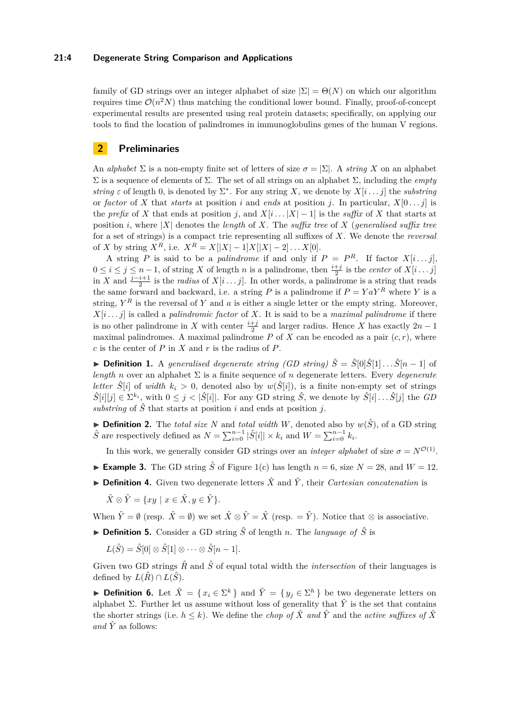#### **21:4 Degenerate String Comparison and Applications**

family of GD strings over an integer alphabet of size  $|\Sigma| = \Theta(N)$  on which our algorithm requires time  $\mathcal{O}(n^2N)$  thus matching the conditional lower bound. Finally, proof-of-concept experimental results are presented using real protein datasets; specifically, on applying our tools to find the location of palindromes in immunoglobulins genes of the human V regions.

## **2 Preliminaries**

An *alphabet*  $\Sigma$  is a non-empty finite set of letters of size  $\sigma = |\Sigma|$ . A *string* X on an alphabet Σ is a sequence of elements of Σ. The set of all strings on an alphabet Σ, including the *empty string*  $\varepsilon$  of length 0, is denoted by  $\Sigma^*$ . For any string X, we denote by  $X[i \dots j]$  the *substring* or *factor* of *X* that *starts* at position *i* and *ends* at position *j*. In particular,  $X[0 \dots j]$  is the *prefix* of *X* that ends at position *j*, and  $X[i \dots |X| - 1]$  is the *suffix* of *X* that starts at position *i*, where  $|X|$  denotes the *length* of X. The *suffix tree* of X (*generalised suffix tree* for a set of strings) is a compact trie representing all suffixes of *X*. We denote the *reversal* of *X* by string  $X^R$ , i.e.  $X^R = X[|X| - 1]X[|X| - 2] \dots X[0].$ 

A string *P* is said to be a *palindrome* if and only if  $P = P^R$ . If factor  $X[i \dots j]$ ,  $0 \leq i \leq j \leq n-1$ , of string *X* of length *n* is a palindrome, then  $\frac{i+j}{2}$  is the *center* of *X*[*i* . . . *j*] in *X* and  $\frac{j-i+1}{2}$  is the *radius* of *X*[*i* . . . *j*]. In other words, a palindrome is a string that reads the same forward and backward, i.e. a string *P* is a palindrome if  $P = Y a Y^R$  where *Y* is a string,  $Y^R$  is the reversal of  $Y$  and  $a$  is either a single letter or the empty string. Moreover,  $X[i \dots j]$  is called a *palindromic factor* of *X*. It is said to be a *maximal palindrome* if there is no other palindrome in *X* with center  $\frac{i+j}{2}$  and larger radius. Hence *X* has exactly  $2n-1$ maximal palindromes. A maximal palindrome  $P$  of  $X$  can be encoded as a pair  $(c, r)$ , where *c* is the center of *P* in *X* and *r* is the radius of *P*.

**► Definition 1.** A generalised degenerate string (GD string)  $\hat{S} = \hat{S}[0]\hat{S}[1] \dots \hat{S}[n-1]$  of *length n* over an alphabet  $\Sigma$  is a finite sequence of *n* degenerate letters. Every *degenerate letter*  $\hat{S}[i]$  of *width*  $k_i > 0$ , denoted also by  $w(\hat{S}[i])$ , is a finite non-empty set of strings  $\hat{S}[i][j] \in \Sigma^{k_i}$ , with  $0 \leq j < |\hat{S}[i]|$ . For any GD string  $\hat{S}$ , we denote by  $\hat{S}[i] \dots \hat{S}[j]$  the *GD* substring of  $\hat{S}$  that starts at position *i* and ends at position *j*.

 $\blacktriangleright$  **Definition 2.** The *total size N* and *total width W*, denoted also by  $w(\hat{S})$ , of a GD string  $\hat{S}$  are respectively defined as  $N = \sum_{i=0}^{n-1} |\hat{S}[i]| \times k_i$  and  $W = \sum_{i=0}^{n-1} k_i$ .

In this work, we generally consider GD strings over an *integer alphabet* of size  $\sigma = N^{\mathcal{O}(1)}$ .

- **Example 3.** The GD string  $\hat{S}$  of Figure [1\(](#page-2-0)c) has length  $n = 6$ , size  $N = 28$ , and  $W = 12$ .
- **► Definition 4.** Given two degenerate letters  $\hat{X}$  and  $\hat{Y}$ , their *Cartesian concatenation* is

$$
\hat{X} \otimes \hat{Y} = \{ xy \mid x \in \hat{X}, y \in \hat{Y} \}.
$$

When  $\hat{Y} = \emptyset$  (resp.  $\hat{X} = \emptyset$ ) we set  $\hat{X} \otimes \hat{Y} = \hat{X}$  (resp.  $= \hat{Y}$ ). Notice that  $\otimes$  is associative.

 $\triangleright$  **Definition 5.** Consider a GD string  $\hat{S}$  of length *n*. The *language of*  $\hat{S}$  is

 $L(\hat{S}) = \hat{S}[0] \otimes \hat{S}[1] \otimes \cdots \otimes \hat{S}[n-1].$ 

Given two GD strings  $\hat{R}$  and  $\hat{S}$  of equal total width the *intersection* of their languages is defined by  $L(\hat{R}) \cap L(\hat{S})$ .

▶ **Definition 6.** Let  $\hat{X} = \{x_i \in \Sigma^k\}$  and  $\hat{Y} = \{y_j \in \Sigma^h\}$  be two degenerate letters on alphabet Σ. Further let us assume without loss of generality that  $\hat{Y}$  is the set that contains the shorter strings (i.e.  $h \leq k$ ). We define the *chop* of  $\hat{X}$  and  $\hat{Y}$  and the *active suffixes* of  $\hat{X}$ *and*  $\hat{Y}$  as follows: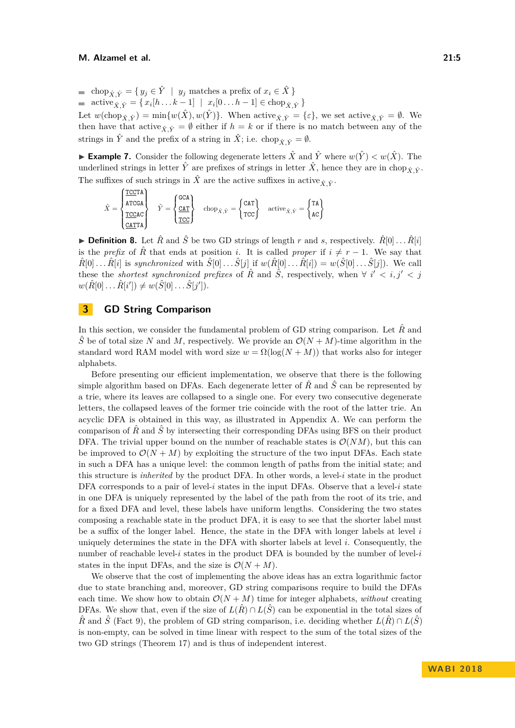■ chop<sub>*X*,  $\hat{Y}$ </sub> = {  $y_j$  ∈  $\hat{Y}$  |  $y_j$  matches a prefix of  $x_i \in \hat{X}$  }  $\text{active}_{\hat{X}, \hat{Y}} = \{ x_i[h \dots k-1] \mid x_i[0 \dots h-1] \in \text{chop}_{\hat{X}, \hat{Y}} \}$ Let  $w(\text{chop}_{\hat{X},\hat{Y}})=\min\{w(\hat{X}),w(\hat{Y})\}.$  When active<sub> $\hat{X},\hat{Y}=\{\varepsilon\},\$ we set active $\hat{X},\hat{Y}=\emptyset$ . We</sub> then have that active  $\hat{\chi} \hat{\gamma} = \emptyset$  either if  $h = k$  or if there is no match between any of the strings in  $\hat{Y}$  and the prefix of a string in  $\hat{X}$ ; i.e. chop<sub> $\hat{X}$ </sub> $\hat{Y} = \emptyset$ .

**Example 7.** Consider the following degenerate letters  $\hat{X}$  and  $\hat{Y}$  where  $w(\hat{Y}) < w(\hat{X})$ . The underlined strings in letter  $\hat{Y}$  are prefixes of strings in letter  $\hat{X}$ , hence they are in chop<sub> $\hat{Y}$ </sub>. The suffixes of such strings in  $\hat{X}$  are the active suffixes in active  $\hat{X}$ ,  $\hat{Y}$ .

$$
\hat{X} = \begin{cases} \frac{\text{TCCTA}}{\text{ATCGA}} \\ \frac{\text{TCCAC}}{\text{CATTA}} \end{cases} \quad \hat{Y} = \begin{cases} \text{GCA} \\ \frac{\text{CAT}}{\text{TCC}} \end{cases} \quad \text{chop}_{\hat{X}, \hat{Y}} = \begin{cases} \text{CAT} \\ \text{TCC} \end{cases} \quad \text{active}_{\hat{X}, \hat{Y}} = \begin{cases} \text{TA} \\ \text{AC} \end{cases}
$$

**Definition 8.** Let  $\hat{R}$  and  $\hat{S}$  be two GD strings of length  $r$  and  $s$ , respectively.  $\hat{R}[0] \dots \hat{R}[i]$ is the *prefix* of  $\hat{R}$  that ends at position *i*. It is called *proper* if  $i \neq r-1$ . We say that  $\hat{R}[0] \dots \hat{R}[i]$  is synchronized with  $\hat{S}[0] \dots \hat{S}[j]$  if  $w(\hat{R}[0] \dots \hat{R}[i]) = w(\hat{S}[0] \dots \hat{S}[j])$ . We call these the *shortest synchronized prefixes* of  $\hat{R}$  and  $\hat{S}$ , respectively, when  $\forall i' < i, j' < j$  $w(\hat{R}[0] \dots \hat{R}[i']) \neq w(\hat{S}[0] \dots \hat{S}[j']).$ 

## <span id="page-4-0"></span>**3 GD String Comparison**

In this section, we consider the fundamental problem of GD string comparison. Let  $\hat{R}$  and  $\hat{S}$  be of total size *N* and *M*, respectively. We provide an  $\mathcal{O}(N+M)$ -time algorithm in the standard word RAM model with word size  $w = \Omega(\log(N + M))$  that works also for integer alphabets.

Before presenting our efficient implementation, we observe that there is the following simple algorithm based on DFAs. Each degenerate letter of  $\hat{R}$  and  $\hat{S}$  can be represented by a trie, where its leaves are collapsed to a single one. For every two consecutive degenerate letters, the collapsed leaves of the former trie coincide with the root of the latter trie. An acyclic DFA is obtained in this way, as illustrated in Appendix [A.](#page-13-2) We can perform the comparison of  $\hat{R}$  and  $\hat{S}$  by intersecting their corresponding DFAs using BFS on their product DFA. The trivial upper bound on the number of reachable states is  $\mathcal{O}(NM)$ , but this can be improved to  $\mathcal{O}(N + M)$  by exploiting the structure of the two input DFAs. Each state in such a DFA has a unique level: the common length of paths from the initial state; and this structure is *inherited* by the product DFA. In other words, a level-*i* state in the product DFA corresponds to a pair of level- $i$  states in the input DFAs. Observe that a level- $i$  state in one DFA is uniquely represented by the label of the path from the root of its trie, and for a fixed DFA and level, these labels have uniform lengths. Considering the two states composing a reachable state in the product DFA, it is easy to see that the shorter label must be a suffix of the longer label. Hence, the state in the DFA with longer labels at level *i* uniquely determines the state in the DFA with shorter labels at level *i*. Consequently, the number of reachable level-*i* states in the product DFA is bounded by the number of level-*i* states in the input DFAs, and the size is  $\mathcal{O}(N+M)$ .

We observe that the cost of implementing the above ideas has an extra logarithmic factor due to state branching and, moreover, GD string comparisons require to build the DFAs each time. We show how to obtain  $\mathcal{O}(N + M)$  time for integer alphabets, *without* creating DFAs. We show that, even if the size of  $L(\hat{R}) \cap L(\hat{S})$  can be exponential in the total sizes of  $\hat{R}$  and  $\hat{S}$  (Fact [9\)](#page-5-0), the problem of GD string comparison, i.e. deciding whether  $L(\hat{R}) \cap L(\hat{S})$ is non-empty, can be solved in time linear with respect to the sum of the total sizes of the two GD strings (Theorem [17\)](#page-7-0) and is thus of independent interest.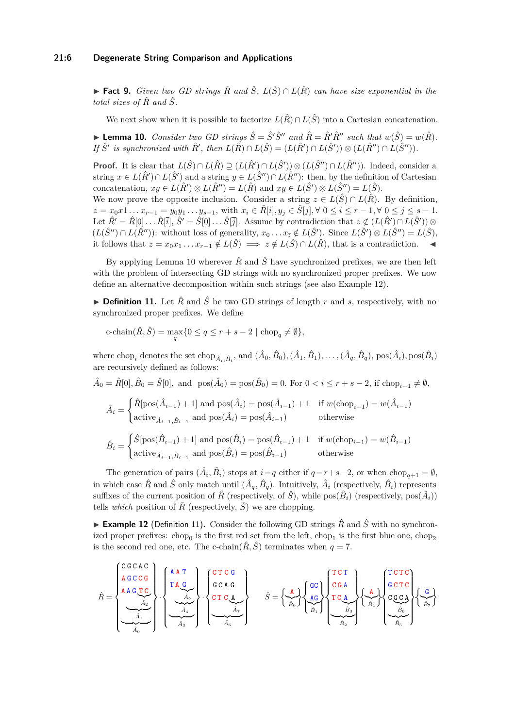#### **21:6 Degenerate String Comparison and Applications**

<span id="page-5-0"></span>**► Fact 9.** *Given two GD strings*  $\hat{R}$  *and*  $\hat{S}$ ,  $L(\hat{S}) \cap L(\hat{R})$  *can have size exponential in the total sizes of*  $\hat{R}$  *and*  $\hat{S}$ *.* 

We next show when it is possible to factorize  $L(\hat{R}) \cap L(\hat{S})$  into a Cartesian concatenation.

<span id="page-5-1"></span>▶ **Lemma 10.** *Consider two GD strings*  $\hat{S} = \hat{S}'\hat{S}''$  *and*  $\hat{R} = \hat{R}'\hat{R}''$  *such that*  $w(\hat{S}) = w(\hat{R})$ *. If*  $\hat{S}'$  is synchronized with  $\hat{R}'$ , then  $L(\hat{R}) \cap L(\hat{S}) = (L(\hat{R}') \cap L(\hat{S}')) \otimes (L(\hat{R}'') \cap L(\hat{S}''))$ .

**Proof.** It is clear that  $L(\hat{S}) \cap L(\hat{R}) \supseteq (L(\hat{R}') \cap L(\hat{S}')) \otimes (L(\hat{S}'') \cap L(\hat{R}''))$ . Indeed, consider a string  $x \in L(\hat{R}') \cap L(\hat{S}')$  and a string  $y \in L(\hat{S}'') \cap L(\hat{R}'')$ : then, by the definition of Cartesian concatenation,  $xy \in L(\hat{R}') \otimes L(\hat{R}'') = L(\hat{R})$  and  $xy \in L(\hat{S}') \otimes L(\hat{S}'') = L(\hat{S})$ .

We now prove the opposite inclusion. Consider a string  $z \in L(\hat{S}) \cap L(\hat{R})$ . By definition,  $z = x_0 x 1 \dots x_{r-1} = y_0 y_1 \dots y_{s-1}$ , with  $x_i \in \hat{R}[i], y_j \in \hat{S}[j], \forall 0 \le i \le r-1, \forall 0 \le j \le s-1$ . Let  $\hat{R}' = \hat{R}[0] \dots \hat{R}[\bar{i}], \hat{S}' = \hat{S}[0] \dots \hat{S}[\bar{j}].$  Assume by contradiction that  $z \notin (L(\hat{R}') \cap L(\hat{S}')) \otimes$  $(L(\hat{S}^{\prime\prime}) \cap L(\hat{R}^{\prime\prime}))$ : without loss of generality,  $x_0 \ldots x_{\overline{i}} \notin L(\hat{S}^{\prime})$ . Since  $L(\hat{S}^{\prime\prime}) \otimes L(\hat{S}^{\prime\prime}) = L(\hat{S})$ , it follows that  $z = x_0x_1 \dots x_{r-1} \notin L(\hat{S}) \implies z \notin L(\hat{S}) \cap L(\hat{R})$ , that is a contradiction.

By applying Lemma [10](#page-5-1) wherever  $\hat{R}$  and  $\hat{S}$  have synchronized prefixes, we are then left with the problem of intersecting GD strings with no synchronized proper prefixes. We now define an alternative decomposition within such strings (see also Example [12\)](#page-5-2).

<span id="page-5-3"></span>▶ **Definition 11.** Let  $\hat{R}$  and  $\hat{S}$  be two GD strings of length *r* and *s*, respectively, with no synchronized proper prefixes. We define

c-chain
$$
(\hat{R}, \hat{S}) = \max_{q} \{0 \leq q \leq r + s - 2 \mid \text{chop}_q \neq \emptyset\},\
$$

where chop<sub>i</sub> denotes the set chop<sub> $\hat{A}_i, \hat{B}_i$ </sub>, and  $(\hat{A}_0, \hat{B}_0), (\hat{A}_1, \hat{B}_1), \dots, (\hat{A}_q, \hat{B}_q)$ ,  $pos(\hat{A}_i)$ ,  $pos(\hat{B}_i)$ are recursively defined as follows:

 $\hat{A}_0 = \hat{R}[0], \hat{B}_0 = \hat{S}[0], \text{ and } \text{pos}(\hat{A}_0) = \text{pos}(\hat{B}_0) = 0. \text{ For } 0 < i \leq r + s - 2, \text{ if } \text{chop}_{i-1} \neq \emptyset,$ 

$$
\hat{A}_i = \begin{cases} \hat{R}[\text{pos}(\hat{A}_{i-1}) + 1] \text{ and } \text{pos}(\hat{A}_i) = \text{pos}(\hat{A}_{i-1}) + 1 & \text{if } w(\text{chop}_{i-1}) = w(\hat{A}_{i-1})\\ \text{active}_{\hat{A}_{i-1}, \hat{B}_{i-1}} \text{ and } \text{pos}(\hat{A}_i) = \text{pos}(\hat{A}_{i-1}) & \text{otherwise} \end{cases}
$$

$$
\hat{B}_i = \begin{cases} \hat{S}[\text{pos}(\hat{B}_{i-1}) + 1] \text{ and } \text{pos}(\hat{B}_i) = \text{pos}(\hat{B}_{i-1}) + 1 & \text{if } w(\text{chop}_{i-1}) = w(\hat{B}_{i-1})\\ \text{active}_{\hat{A}_{i-1}, \hat{B}_{i-1}} \text{ and } \text{pos}(\hat{B}_i) = \text{pos}(\hat{B}_{i-1}) & \text{otherwise} \end{cases}
$$

The generation of pairs  $(\hat{A}_i, \hat{B}_i)$  stops at  $i = q$  either if  $q = r + s - 2$ , or when  $chop_{q+1} = \emptyset$ , in which case  $\hat{R}$  and  $\hat{S}$  only match until  $(\hat{A}_q, \hat{B}_q)$ . Intuitively,  $\hat{A}_i$  (respectively,  $\hat{B}_i$ ) represents suffixes of the current position of  $\hat{R}$  (respectively, of  $\hat{S}$ ), while  $pos(\hat{B}_i)$  (respectively,  $pos(\hat{A}_i)$ ) tells *which* position of  $\hat{R}$  (respectively,  $\hat{S}$ ) we are chopping.

<span id="page-5-2"></span>**Example 12** (Definition [11\)](#page-5-3). Consider the following GD strings  $\hat{R}$  and  $\hat{S}$  with no synchronized proper prefixes:  $chop_0$  is the first red set from the left,  $chop_1$  is the first blue one,  $chop_2$ is the second red one, etc. The c-chain( $\hat{R}, \hat{S}$ ) terminates when  $q = 7$ .

$$
\hat{R} = \n\begin{pmatrix}\nC & G & C & C \\
A & G & C & G \\
A & A & G & T & C \\
\hline\n\end{pmatrix}\n\cdot\n\begin{pmatrix}\nA & T \\
T & A & G \\
\hline\n\end{pmatrix}\n\cdot\n\begin{pmatrix}\nC & T & C & G \\
G & A & G \\
\hline\n\end{pmatrix}\n\cdot\n\begin{pmatrix}\nC & T & C & G \\
G & C & A & G \\
\hline\n\end{pmatrix}\n\cdot\n\begin{pmatrix}\nC & T & G \\
G & C & A & G \\
\hline\n\end{pmatrix}\n\cdot\n\begin{pmatrix}\nC & G & G \\
\hline\n\end{pmatrix}\n\cdot\n\begin{pmatrix}\nC & G & G \\
\hline\n\end{pmatrix}\n\cdot\n\begin{pmatrix}\nC & G & G \\
\hline\n\end{pmatrix}\n\cdot\n\begin{pmatrix}\nC & G & G \\
\hline\n\end{pmatrix}\n\cdot\n\begin{pmatrix}\nC & G & G \\
\hline\n\end{pmatrix}\n\cdot\n\begin{pmatrix}\nC & G & G \\
\hline\n\end{pmatrix}\n\cdot\n\begin{pmatrix}\nC & G & G \\
\hline\n\end{pmatrix}\n\cdot\n\begin{pmatrix}\nC & G & G \\
\hline\n\end{pmatrix}\n\cdot\n\begin{pmatrix}\nC & G & G \\
\hline\n\end{pmatrix}\n\cdot\n\begin{pmatrix}\nC & G & G \\
\hline\n\end{pmatrix}\n\cdot\n\begin{pmatrix}\nC & G & G \\
\hline\n\end{pmatrix}\n\cdot\n\begin{pmatrix}\nC & G & G \\
\hline\n\end{pmatrix}\n\cdot\n\begin{pmatrix}\nC & G & G \\
\hline\n\end{pmatrix}\n\cdot\n\begin{pmatrix}\nC & G & G \\
\hline\n\end{pmatrix}\n\cdot\n\begin{pmatrix}\nC & G & G \\
\hline\n\end{pmatrix}\n\cdot\n\begin{pmatrix}\nC & G & G \\
\hline\n\end{pmatrix}\n\cdot\n\begin{pmatrix}\nC & G &
$$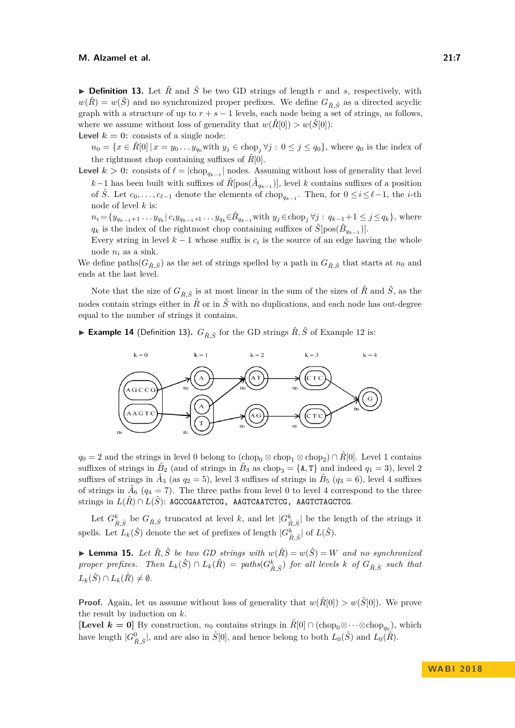<span id="page-6-0"></span>**Definition 13.** Let  $\hat{R}$  and  $\hat{S}$  be two GD strings of length r and s, respectively, with  $w(\hat{R}) = w(\hat{S})$  and no synchronized proper prefixes. We define  $G_{\hat{R},\hat{S}}$  as a directed acyclic graph with a structure of up to  $r + s - 1$  levels, each node being a set of strings, as follows, where we assume without loss of generality that  $w(\hat{R}[0]) > w(\hat{S}[0])$ :

**Level**  $k = 0$ : consists of a single node:

 $n_0 = \{x \in R[0] \mid x = y_0 \dots y_{q_0}$  with  $y_j \in \text{chop}_j \forall j : 0 \le j \le q_0\}$ , where  $q_0$  is the index of the rightmost chop containing suffixes of  $\hat{R}[0]$ .

**Level**  $k > 0$ : consists of  $\ell = |\text{chop}_{q_{k-1}}|$  nodes. Assuming without loss of generality that level *k*−1 has been built with suffixes of  $\hat{R}$ [pos( $\hat{A}_{q_{k-1}}$ )], level *k* contains suffixes of a position of  $\hat{S}$ . Let  $c_0, \ldots, c_{\ell-1}$  denote the elements of chop<sub> $q_{k-1}$ </sub>. Then, for  $0 \leq i \leq \ell-1$ , the *i*-th node of level *k* is:

 $n_i = \{y_{q_{k-1}+1} \dots y_{q_k} | c_i y_{q_{k-1}+1} \dots y_{q_k} \in \hat{B}_{q_{k-1}} \text{with } y_j \in \text{chop}_j \forall j : q_{k-1}+1 \leq j \leq q_k \}, \text{ where } j \in \{1,2, \dots, k\}$  $q_k$  is the index of the rightmost chop containing suffixes of  $\hat{S}[\text{pos}(\hat{B}_{q_{k-1}})]$ .

Every string in level  $k-1$  whose suffix is  $c_i$  is the source of an edge having the whole node *n<sup>i</sup>* as a sink.

We define paths( $G_{\hat{R}, \hat{S}}$ ) as the set of strings spelled by a path in  $G_{\hat{R}, \hat{S}}$  that starts at  $n_0$  and ends at the last level.

Note that the size of  $G_{\hat{R},\hat{S}}$  is at most linear in the sum of the sizes of  $\hat{R}$  and  $\hat{S}$ , as the nodes contain strings either in  $\hat{R}$  or in  $\hat{S}$  with no duplications, and each node has out-degree equal to the number of strings it contains.

▶ **Example 14** (Definition [13\)](#page-6-0).  $G_{\hat{B}, \hat{S}}$  for the GD strings  $\hat{R}, \hat{S}$  of Example [12](#page-5-2) is:



 $q_0 = 2$  and the strings in level 0 belong to  $(\text{chop}_0 \otimes \text{chop}_1 \otimes \text{chop}_2) \cap \hat{R}[0]$ . Level 1 contains suffixes of strings in  $\hat{B}_2$  (and of strings in  $\hat{B}_3$  as chop<sub>3</sub> = {A, T} and indeed  $q_1 = 3$ ), level 2 suffixes of strings in  $\hat{A}_3$  (as  $q_2 = 5$ ), level 3 suffixes of strings in  $\hat{B}_5$  ( $q_3 = 6$ ), level 4 suffixes of strings in  $\hat{A}_6$  ( $q_4 = 7$ ). The three paths from level 0 to level 4 correspond to the three strings in *L*(*R*ˆ) ∩ *L*(*S*ˆ): AGCCGAATCTCG, AAGTCAATCTCG, AAGTCTAGCTCG.

Let  $G_{\hat{R},\hat{S}}^k$  be  $G_{\hat{R},\hat{S}}$  truncated at level *k*, and let  $|G_{\hat{R},\hat{S}}^k|$  be the length of the strings it spells. Let  $L_k(\hat{S})$  denote the set of prefixes of length  $|G_{\hat{R},\hat{S}}^k|$  of  $L(\hat{S})$ .

<span id="page-6-1"></span>▶ **Lemma 15.** *Let*  $\hat{R}, \hat{S}$  *be two GD strings with*  $w(\hat{R}) = w(\hat{S}) = W$  *and no synchronized* proper prefixes. Then  $L_k(\hat{S}) \cap L_k(\hat{R}) =$  paths $(G_{\hat{R},\hat{S}}^k)$  for all levels k of  $G_{\hat{R},\hat{S}}$  such that  $L_k(\hat{S}) \cap L_k(\hat{R}) \neq \emptyset$ .

**Proof.** Again, let us assume without loss of generality that  $w(\hat{R}[0]) > w(\hat{S}[0])$ . We prove the result by induction on *k*.

**[Level**  $k = 0$ **]** By construction,  $n_0$  contains strings in  $\hat{R}[0] \cap (\text{chop}_0 \otimes \cdots \otimes \text{chop}_{q_0})$ , which have length  $|G_{\hat{R},\hat{S}}^0|$ , and are also in  $\hat{S}[0]$ , and hence belong to both  $L_0(\hat{S})$  and  $L_0(\hat{R})$ .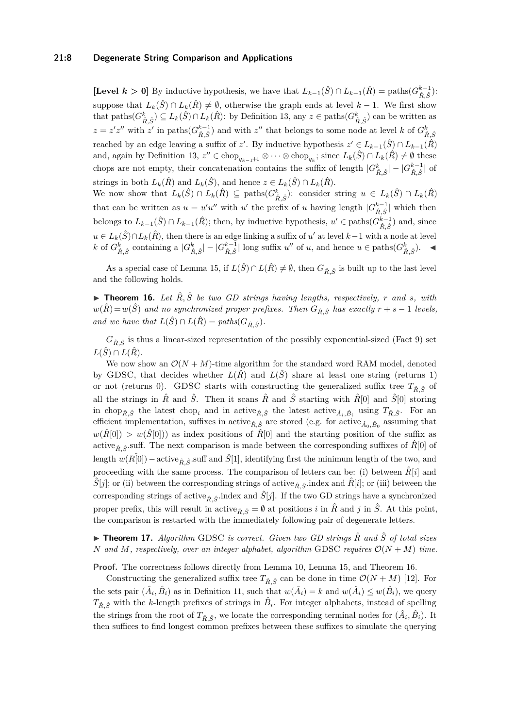## **21:8 Degenerate String Comparison and Applications**

[Level  $k > 0$ ] By inductive hypothesis, we have that  $L_{k-1}(\hat{S}) \cap L_{k-1}(\hat{R}) = \text{paths}(G_{\hat{R},\hat{S}}^{k-1})$ : suppose that  $L_k(\hat{S}) \cap L_k(\hat{R}) \neq \emptyset$ , otherwise the graph ends at level  $k-1$ . We first show that paths $(G_{\hat{R},\hat{S}}^k) \subseteq L_k(\hat{S}) \cap L_k(\hat{R})$ : by Definition [13,](#page-6-0) any  $z \in \text{paths}(G_{\hat{R},\hat{S}}^k)$  can be written as  $z = z'z''$  with  $z'$  in paths $(G_{\hat{R},\hat{S}}^{k-1})$  and with  $z''$  that belongs to some node at level *k* of  $G_{\hat{R},\hat{S}}^k$ reached by an edge leaving a suffix of *z'*. By inductive hypothesis  $z' \in L_{k-1}(\hat{S}) \cap L_{k-1}(\hat{R})$ and, again by Definition [13,](#page-6-0)  $z'' \in \text{chop}_{q_{k-1}+1} \otimes \cdots \otimes \text{chop}_{q_k}$ ; since  $L_k(\hat{S}) \cap L_k(\hat{R}) \neq \emptyset$  these chops are not empty, their concatenation contains the suffix of length  $|G_{\hat{R},\hat{S}}^k|-|G_{\hat{R},\hat{S}}^{k-1}|$  of strings in both  $L_k(\hat{R})$  and  $L_k(\hat{S})$ , and hence  $z \in L_k(\hat{S}) \cap L_k(\hat{R})$ .

We now show that  $L_k(\hat{S}) \cap L_k(\hat{R}) \subseteq \text{paths}(G_{\hat{R},\hat{S}}^k):$  consider string  $u \in L_k(\hat{S}) \cap L_k(\hat{R})$ that can be written as  $u = u'u''$  with *u'* the prefix of *u* having length  $|G_{\hat{R},\hat{S}}^{k-1}|$  which then belongs to  $L_{k-1}(\hat{S}) \cap L_{k-1}(\hat{R})$ ; then, by inductive hypothesis,  $u' \in \text{paths}(G_{\hat{R},\hat{S}}^{k-1})$  and, since  $u \in L_k(\hat{S}) \cap L_k(\hat{R})$ , then there is an edge linking a suffix of *u*' at level  $k-1$  with a node at level  $k$  of  $G_{\hat{R},\hat{S}}^k$  containing a  $|G_{\hat{R},\hat{S}}^k| - |G_{\hat{R},\hat{S}}^{k-1}|$  long suffix  $u''$  of  $u$ , and hence  $u \in \text{paths}(G_{\hat{R},\hat{S}}^k)$ .

As a special case of Lemma [15,](#page-6-1) if  $L(\hat{S}) \cap L(\hat{R}) \neq \emptyset$ , then  $G_{\hat{R},\hat{S}}$  is built up to the last level and the following holds.

<span id="page-7-1"></span> $\triangleright$  **Theorem 16.** Let  $\hat{R}, \hat{S}$  be two GD strings having lengths, respectively, r and s, with  $w(\hat{R}) = w(\hat{S})$  *and no synchronized proper prefixes. Then*  $G_{\hat{R},\hat{S}}$  *has exactly*  $r + s - 1$  *levels, and we have that*  $L(\hat{S}) \cap L(\hat{R}) = paths(G_{\hat{R}, \hat{S}}).$ 

 $G_{\hat{R},\hat{S}}$  is thus a linear-sized representation of the possibly exponential-sized (Fact [9\)](#page-5-0) set  $L(\hat{S}) \cap L(\hat{R})$ .

We now show an  $O(N + M)$ -time algorithm for the standard word RAM model, denoted by GDSC, that decides whether  $L(\hat{R})$  and  $L(\hat{S})$  share at least one string (returns 1) or not (returns 0). GDSC starts with constructing the generalized suffix tree  $T_{\hat{B},\hat{S}}$  of all the strings in  $\hat{R}$  and  $\hat{S}$ . Then it scans  $\hat{R}$  and  $\hat{S}$  starting with  $\hat{R}[0]$  and  $\hat{S}[0]$  storing in chop<sub>*R*</sub>,  $\hat{S}$ </sub> the latest chop<sub>*i*</sub> and in active<sub>*R*</sub>,  $\hat{S}$ <sup>*i*</sup> the latest active<sub>*A*<sup>*i*</sup>,  $\hat{B}$ <sub>*i*</sub></sub> using  $T_{\hat{R},\hat{S}}$ *i*. For an efficient implementation, suffixes in active $_{\hat{R}, \hat{S}}$  are stored (e.g. for active $_{\hat{A}_0, \hat{B}_0}$  assuming that  $w(\hat{R}[0]) > w(\hat{S}[0])$  as index positions of  $\hat{R}[0]$  and the starting position of the suffix as active<sub> $\hat{R}, \hat{S}$ <sup>*s*</sup>.suff. The next comparison is made between the corresponding suffixes of  $\hat{R}[0]$  of</sub> length  $w(R[0])$  – active<sub> $\hat{R}, \hat{S}$ </sub> suff and  $\hat{S}[1]$ , identifying first the minimum length of the two, and proceeding with the same process. The comparison of letters can be: (i) between  $\hat{R}[i]$  and  $S[j]$ ; or (ii) between the corresponding strings of active<sub> $\hat{R}, \hat{S}$ <sup>riar</sup>. The *R*<sup>[*i*</sup>]; or (iii) between the</sub> corresponding strings of active<sub> $\hat{B}$ </sub>,  $\hat{S}$ .index and  $\hat{S}[j]$ . If the two GD strings have a synchronized proper prefix, this will result in active<sub> $\hat{R}$ </sub>  $\hat{S} = \emptyset$  at positions *i* in  $\hat{R}$  and *j* in  $\hat{S}$ . At this point, the comparison is restarted with the immediately following pair of degenerate letters.

<span id="page-7-0"></span>▶ **Theorem 17.** *Algorithm* GDSC *is correct. Given two GD strings*  $\hat{R}$  *and*  $\hat{S}$  *of total sizes N* and *M*, respectively, over an integer alphabet, algorithm GDSC requires  $\mathcal{O}(N + M)$  time.

**Proof.** The correctness follows directly from Lemma [10,](#page-5-1) Lemma [15,](#page-6-1) and Theorem [16.](#page-7-1)

Constructing the generalized suffix tree  $T_{\hat{R},\hat{S}}$  can be done in time  $\mathcal{O}(N+M)$  [\[12\]](#page-12-15). For the sets pair  $(\hat{A}_i, \hat{B}_i)$  as in Definition [11,](#page-5-3) such that  $w(\hat{A}_i) = k$  and  $w(\hat{A}_i) \leq w(\hat{B}_i)$ , we query  $T_{\hat{R},\hat{S}}$  with the *k*-length prefixes of strings in  $\hat{B}_i$ . For integer alphabets, instead of spelling the strings from the root of  $T_{\hat{R}, \hat{S}}$ , we locate the corresponding terminal nodes for  $(\hat{A}_i, \hat{B}_i)$ . It then suffices to find longest common prefixes between these suffixes to simulate the querying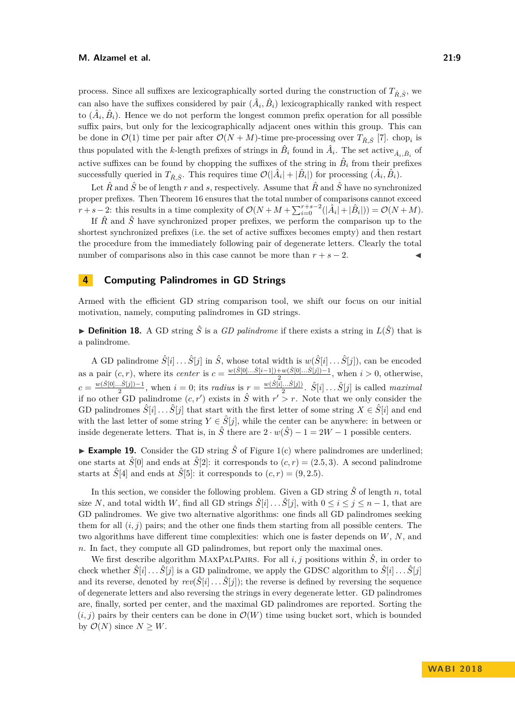process. Since all suffixes are lexicographically sorted during the construction of  $T_{\hat{R}, \hat{S}}$ <sup>*,* we</sup> can also have the suffixes considered by pair  $(\hat{A}_i, \hat{B}_i)$  lexicographically ranked with respect to  $(\hat{A}_i, \hat{B}_i)$ . Hence we do not perform the longest common prefix operation for all possible suffix pairs, but only for the lexicographically adjacent ones within this group. This can be done in  $\mathcal{O}(1)$  time per pair after  $\mathcal{O}(N+M)$ -time pre-processing over  $T_{\hat{R},\hat{S}}$  [\[7\]](#page-11-5). chop<sub>*i*</sub> is thus populated with the *k*-length prefixes of strings in  $\hat{B}_i$  found in  $\hat{A}_i$ . The set active  $_{\hat{A}_i,\hat{B}_i}$  of active suffixes can be found by chopping the suffixes of the string in  $\hat{B}_i$  from their prefixes successfully queried in  $T_{\hat{R}, \hat{S}}$ . This requires time  $\mathcal{O}(|\hat{A}_i| + |\hat{B}_i|)$  for processing  $(\hat{A}_i, \hat{B}_i)$ .

Let  $\hat{R}$  and  $\hat{S}$  be of length  $r$  and  $s$ , respectively. Assume that  $\hat{R}$  and  $\hat{S}$  have no synchronized proper prefixes. Then Theorem [16](#page-7-1) ensures that the total number of comparisons cannot exceed *r* + *s* − 2: this results in a time complexity of  $\mathcal{O}(N + M + \sum_{i=0}^{r+s-2}(|\hat{A}_i| + |\hat{B}_i|)) = \mathcal{O}(N + M)$ .

If  $\hat{R}$  and  $\hat{S}$  have synchronized proper prefixes, we perform the comparison up to the shortest synchronized prefixes (i.e. the set of active suffixes becomes empty) and then restart the procedure from the immediately following pair of degenerate letters. Clearly the total number of comparisons also in this case cannot be more than  $r + s - 2$ .

# **4 Computing Palindromes in GD Strings**

Armed with the efficient GD string comparison tool, we shift our focus on our initial motivation, namely, computing palindromes in GD strings.

**Definition 18.** A GD string  $\hat{S}$  is a *GD palindrome* if there exists a string in  $L(\hat{S})$  that is a palindrome.

A GD palindrome  $\hat{S}[i] \dots \hat{S}[j]$  in  $\hat{S}$ , whose total width is  $w(\hat{S}[i] \dots \hat{S}[j])$ , can be encoded as a pair  $(c, r)$ , where its *center* is  $c = \frac{w(\hat{S}[0]... \hat{S}[i-1]) + w(\hat{S}[0]... \hat{S}[j]) - 1}{2}$  $\frac{w(S[0]...S[j])-1}{2}$ , when  $i>0$ , otherwise,  $c = \frac{w(\hat{S}[0]... \hat{S}[j]) - 1}{2}$  $\frac{1}{2}$ , when *i* = 0; its *radius* is  $r = \frac{w(\hat{S}[i]...S[j])}{2}$  $\frac{[...S[j]]}{2}$ .  $\hat{S}[i] \dots \hat{S}[j]$  is called *maximal* if no other GD palindrome  $(c, r')$  exists in  $\hat{S}$  with  $r' > r$ . Note that we only consider the GD palindromes  $S[i] \dots S[j]$  that start with the first letter of some string  $X \in \hat{S}[i]$  and end with the last letter of some string  $Y \in \hat{S}[j]$ , while the center can be anywhere: in between or inside degenerate letters. That is, in  $\hat{S}$  there are  $2 \cdot w(\hat{S}) - 1 = 2W - 1$  possible centers.

**Example 19.** Consider the GD string  $\hat{S}$  of Figure [1\(](#page-2-0)c) where palindromes are underlined; one starts at  $\hat{S}[0]$  and ends at  $\hat{S}[2]$ : it corresponds to  $(c, r) = (2.5, 3)$ . A second palindrome starts at  $\hat{S}[4]$  and ends at  $\hat{S}[5]$ : it corresponds to  $(c, r) = (9, 2.5)$ .

In this section, we consider the following problem. Given a GD string  $\hat{S}$  of length *n*, total size *N*, and total width *W*, find all GD strings  $\hat{S}[i]$  . . .  $\hat{S}[j]$ , with  $0 \le i \le j \le n-1$ , that are GD palindromes. We give two alternative algorithms: one finds all GD palindromes seeking them for all  $(i, j)$  pairs; and the other one finds them starting from all possible centers. The two algorithms have different time complexities: which one is faster depends on *W*, *N*, and *n*. In fact, they compute all GD palindromes, but report only the maximal ones.

We first describe algorithm MAXPALPAIRS. For all  $i, j$  positions within  $\hat{S}$ , in order to check whether  $\hat{S}[i] \dots \hat{S}[j]$  is a GD palindrome, we apply the GDSC algorithm to  $\hat{S}[i] \dots \hat{S}[j]$ and its reverse, denoted by  $rev(\hat{S}[i] \dots \hat{S}[j])$ ; the reverse is defined by reversing the sequence of degenerate letters and also reversing the strings in every degenerate letter. GD palindromes are, finally, sorted per center, and the maximal GD palindromes are reported. Sorting the  $(i, j)$  pairs by their centers can be done in  $\mathcal{O}(W)$  time using bucket sort, which is bounded by  $\mathcal{O}(N)$  since  $N \geq W$ .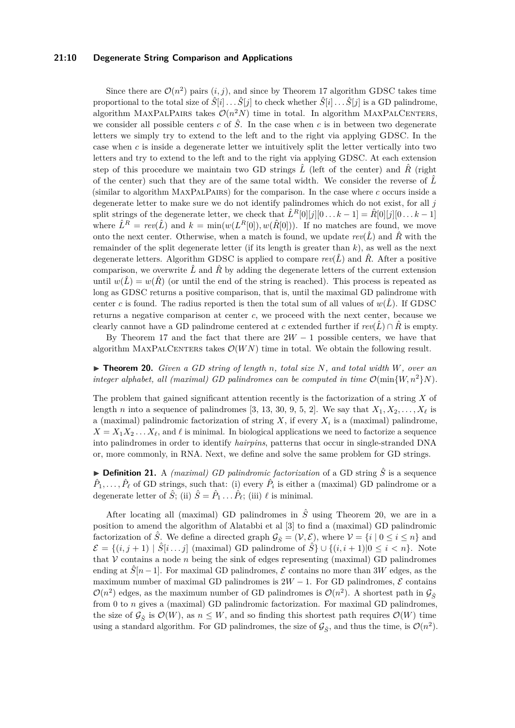## **21:10 Degenerate String Comparison and Applications**

Since there are  $\mathcal{O}(n^2)$  pairs  $(i, j)$ , and since by Theorem [17](#page-7-0) algorithm GDSC takes time proportional to the total size of  $\hat{S}[i] \dots \hat{S}[j]$  to check whether  $\hat{S}[i] \dots \hat{S}[j]$  is a GD palindrome, algorithm MAXPALPAIRS takes  $\mathcal{O}(n^2N)$  time in total. In algorithm MAXPALCENTERS, we consider all possible centers  $c$  of  $\hat{S}$ . In the case when  $c$  is in between two degenerate letters we simply try to extend to the left and to the right via applying GDSC. In the case when *c* is inside a degenerate letter we intuitively split the letter vertically into two letters and try to extend to the left and to the right via applying GDSC. At each extension step of this procedure we maintain two GD strings  $\hat{L}$  (left of the center) and  $\hat{R}$  (right of the center) such that they are of the same total width. We consider the reverse of  $\hat{L}$ (similar to algorithm MaxPalPairs) for the comparison. In the case where *c* occurs inside a degenerate letter to make sure we do not identify palindromes which do not exist, for all *j* split strings of the degenerate letter, we check that  $\hat{L}^R[0][j][0...k-1] = \hat{R}[0][j][0...k-1]$ where  $\hat{L}^R = rev(\hat{L})$  and  $k = min(w(L^R[0]), w(\hat{R}[0]))$ . If no matches are found, we move onto the next center. Otherwise, when a match is found, we update  $rev(\hat{L})$  and  $\hat{R}$  with the remainder of the split degenerate letter (if its length is greater than *k*), as well as the next degenerate letters. Algorithm GDSC is applied to compare  $rev(\hat{L})$  and  $\hat{R}$ . After a positive comparison, we overwrite  $\hat{L}$  and  $\hat{R}$  by adding the degenerate letters of the current extension until  $w(\hat{L}) = w(\hat{R})$  (or until the end of the string is reached). This process is repeated as long as GDSC returns a positive comparison, that is, until the maximal GD palindrome with center *c* is found. The radius reported is then the total sum of all values of  $w(\hat{L})$ . If GDSC returns a negative comparison at center *c*, we proceed with the next center, because we clearly cannot have a GD palindrome centered at *c* extended further if  $rev(\hat{L}) \cap \hat{R}$  is empty.

By Theorem [17](#page-7-0) and the fact that there are  $2W - 1$  possible centers, we have that algorithm MAXPALCENTERS takes  $\mathcal{O}(WN)$  time in total. We obtain the following result.

<span id="page-9-0"></span>I **Theorem 20.** *Given a GD string of length n, total size N, and total width W, over an integer alphabet, all (maximal) GD palindromes can be computed in time*  $\mathcal{O}(\min\{W, n^2\}N)$ .

The problem that gained significant attention recently is the factorization of a string *X* of length *n* into a sequence of palindromes [\[3,](#page-11-6) [13,](#page-12-16) [30,](#page-13-3) [9,](#page-11-7) [5,](#page-11-8) [2\]](#page-11-9). We say that  $X_1, X_2, \ldots, X_\ell$  is a (maximal) palindromic factorization of string *X*, if every *X<sup>i</sup>* is a (maximal) palindrome,  $X = X_1 X_2 \ldots X_\ell$ , and  $\ell$  is minimal. In biological applications we need to factorize a sequence into palindromes in order to identify *hairpins*, patterns that occur in single-stranded DNA or, more commonly, in RNA. Next, we define and solve the same problem for GD strings.

**Definition 21.** A *(maximal) GD palindromic factorization* of a GD string  $\hat{S}$  is a sequence  $\hat{P}_1, \ldots, \hat{P}_\ell$  of GD strings, such that: (i) every  $\hat{P}_i$  is either a (maximal) GD palindrome or a degenerate letter of  $\hat{S}$ ; (ii)  $\hat{S} = \hat{P}_1 \dots \hat{P}_\ell$ ; (iii)  $\ell$  is minimal.

After locating all (maximal) GD palindromes in  $\hat{S}$  using Theorem [20,](#page-9-0) we are in a position to amend the algorithm of Alatabbi et al [\[3\]](#page-11-6) to find a (maximal) GD palindromic factorization of  $\hat{S}$ . We define a directed graph  $\mathcal{G}_{\hat{S}} = (\mathcal{V}, \mathcal{E})$ , where  $\mathcal{V} = \{i \mid 0 \le i \le n\}$  and  $\mathcal{E} = \{(i, j+1) \mid \hat{S}[i \dots j] \text{ (maximal) GD palindrome of } \hat{S}\} \cup \{(i, i+1)|0 \leq i < n\}.$  Note that  $V$  contains a node  $n$  being the sink of edges representing (maximal) GD palindromes ending at  $\hat{S}[n-1]$ . For maximal GD palindromes,  $\mathcal E$  contains no more than 3*W* edges, as the maximum number of maximal GD palindromes is  $2W - 1$ . For GD palindromes,  $\mathcal E$  contains  $\mathcal{O}(n^2)$  edges, as the maximum number of GD palindromes is  $\mathcal{O}(n^2)$ . A shortest path in  $\mathcal{G}_{\hat{S}}$ from 0 to *n* gives a (maximal) GD palindromic factorization. For maximal GD palindromes, the size of  $\mathcal{G}_{\hat{S}}$  is  $\mathcal{O}(W)$ , as  $n \leq W$ , and so finding this shortest path requires  $\mathcal{O}(W)$  time using a standard algorithm. For GD palindromes, the size of  $\mathcal{G}_{\hat{S}}$ , and thus the time, is  $\mathcal{O}(n^2)$ .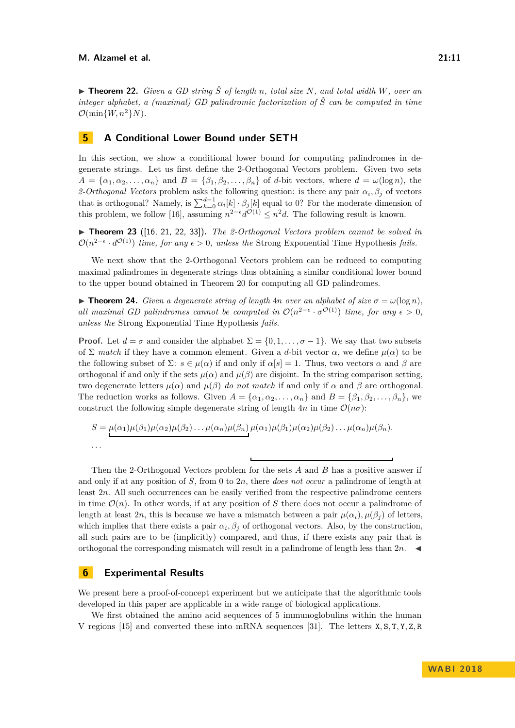$\triangleright$  **Theorem 22.** *Given a GD string*  $\hat{S}$  *of length n*, *total size N, and total width W, over an integer alphabet, a (maximal) GD palindromic factorization of S*ˆ *can be computed in time*  $\mathcal{O}(\min\{W, n^2\}N)$ .

## **5 A Conditional Lower Bound under SETH**

In this section, we show a conditional lower bound for computing palindromes in degenerate strings. Let us first define the 2-Orthogonal Vectors problem. Given two sets  $A = {\alpha_1, \alpha_2, \ldots, \alpha_n}$  and  $B = {\beta_1, \beta_2, \ldots, \beta_n}$  of *d*-bit vectors, where  $d = \omega(\log n)$ , the 2-Orthogonal Vectors problem asks the following question: is there any pair  $\alpha_i, \beta_j$  of vectors that is orthogonal? Namely, is  $\sum_{k=0}^{d-1} \alpha_i[k] \cdot \beta_j[k]$  equal to 0? For the moderate dimension of this problem, we follow [\[16\]](#page-12-17), assuming  $n^{2-\epsilon}d^{\mathcal{O}(1)} \leq n^2d$ . The following result is known.

 $\triangleright$  **Theorem 23** ([\[16,](#page-12-17) [21,](#page-12-13) [22,](#page-12-14) [33\]](#page-13-4)). *The 2-Orthogonal Vectors problem cannot be solved in*  $\mathcal{O}(n^{2-\epsilon} \cdot d^{\mathcal{O}(1)})$  *time, for any*  $\epsilon > 0$ *, unless the* Strong Exponential Time Hypothesis *fails.* 

We next show that the 2-Orthogonal Vectors problem can be reduced to computing maximal palindromes in degenerate strings thus obtaining a similar conditional lower bound to the upper bound obtained in Theorem [20](#page-9-0) for computing all GD palindromes.

**Findamerical 14.** *Given a degenerate string of length* 4*n over an alphabet of size*  $\sigma = \omega(\log n)$ *, all maximal GD palindromes cannot be computed in*  $\mathcal{O}(n^{2-\epsilon} \cdot \sigma^{\mathcal{O}(1)})$  *time, for any*  $\epsilon > 0$ *, unless the* Strong Exponential Time Hypothesis *fails.*

**Proof.** Let  $d = \sigma$  and consider the alphabet  $\Sigma = \{0, 1, \ldots, \sigma - 1\}$ . We say that two subsets of  $\Sigma$  *match* if they have a common element. Given a *d*-bit vector  $\alpha$ , we define  $\mu(\alpha)$  to be the following subset of  $\Sigma: s \in \mu(\alpha)$  if and only if  $\alpha[s] = 1$ . Thus, two vectors  $\alpha$  and  $\beta$  are orthogonal if and only if the sets  $\mu(\alpha)$  and  $\mu(\beta)$  are disjoint. In the string comparison setting, two degenerate letters  $\mu(\alpha)$  and  $\mu(\beta)$  *do not match* if and only if  $\alpha$  and  $\beta$  are orthogonal. The reduction works as follows. Given  $A = \{\alpha_1, \alpha_2, \ldots, \alpha_n\}$  and  $B = \{\beta_1, \beta_2, \ldots, \beta_n\}$ , we construct the following simple degenerate string of length  $4n$  in time  $\mathcal{O}(n\sigma)$ :

$$
S = \mu(\alpha_1)\mu(\beta_1)\mu(\alpha_2)\mu(\beta_2)\dots\mu(\alpha_n)\mu(\beta_n)\mu(\alpha_1)\mu(\beta_1)\mu(\alpha_2)\mu(\beta_2)\dots\mu(\alpha_n)\mu(\beta_n).
$$
  
...

Then the 2-Orthogonal Vectors problem for the sets *A* and *B* has a positive answer if and only if at any position of *S*, from 0 to 2*n*, there *does not occur* a palindrome of length at least 2*n*. All such occurrences can be easily verified from the respective palindrome centers in time  $\mathcal{O}(n)$ . In other words, if at any position of *S* there does not occur a palindrome of length at least 2*n*, this is because we have a mismatch between a pair  $\mu(\alpha_i)$ ,  $\mu(\beta_i)$  of letters, which implies that there exists a pair  $\alpha_i, \beta_j$  of orthogonal vectors. Also, by the construction, all such pairs are to be (implicitly) compared, and thus, if there exists any pair that is orthogonal the corresponding mismatch will result in a palindrome of length less than  $2n$ .

## **6 Experimental Results**

We present here a proof-of-concept experiment but we anticipate that the algorithmic tools developed in this paper are applicable in a wide range of biological applications.

We first obtained the amino acid sequences of 5 immunoglobulins within the human V regions [\[15\]](#page-12-18) and converted these into mRNA sequences [\[31\]](#page-13-5). The letters X*,* S*,* T*,* Y*,* Z*,* R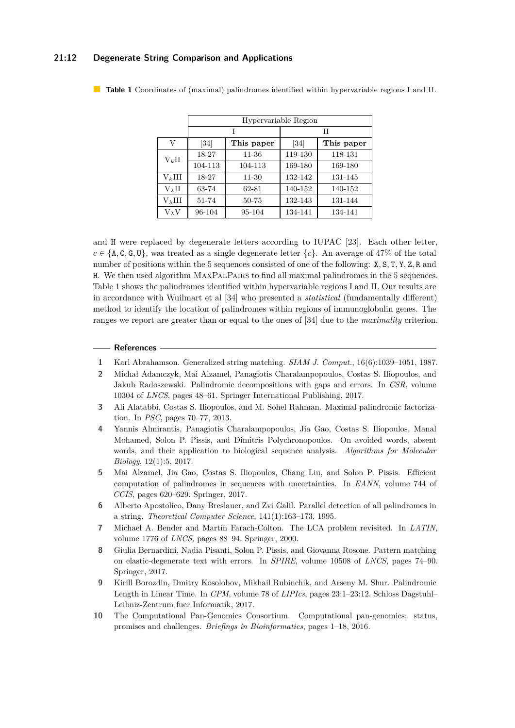## **21:12 Degenerate String Comparison and Applications**

|                             | Hypervariable Region |            |         |            |  |
|-----------------------------|----------------------|------------|---------|------------|--|
|                             | T                    |            | Н       |            |  |
| V                           | [34]                 | This paper | [34]    | This paper |  |
| $\mathrm{V}_{k}\mathrm{II}$ | 18-27                | 11-36      | 119-130 | 118-131    |  |
|                             | 104-113              | 104-113    | 169-180 | 169-180    |  |
| $V_k$ III                   | 18-27                | 11-30      | 132-142 | 131-145    |  |
| $V_\lambda II$              | 63-74                | 62-81      | 140-152 | 140-152    |  |
| $V_{\lambda}III$            | 51-74                | 50-75      | 132-143 | 131-144    |  |
| $V_{\lambda}V$              | 96-104               | 95-104     | 134-141 | 134-141    |  |

<span id="page-11-10"></span>**Table 1** Coordinates of (maximal) palindromes identified within hypervariable regions I and II.

and H were replaced by degenerate letters according to IUPAC [\[23\]](#page-12-3). Each other letter,  $c \in \{A, C, G, U\}$ , was treated as a single degenerate letter  $\{c\}$ . An average of 47% of the total number of positions within the 5 sequences consisted of one of the following: X*,* S*,* T*,* Y*,* Z*,* R and H. We then used algorithm MaxPalPairs to find all maximal palindromes in the 5 sequences. Table [1](#page-11-10) shows the palindromes identified within hypervariable regions I and II. Our results are in accordance with Wuilmart et al [\[34\]](#page-13-6) who presented a *statistical* (fundamentally different) method to identify the location of palindromes within regions of immunoglobulin genes. The ranges we report are greater than or equal to the ones of [\[34\]](#page-13-6) due to the *maximality* criterion.

#### **References**

- <span id="page-11-0"></span>**1** Karl Abrahamson. Generalized string matching. *SIAM J. Comput.*, 16(6):1039–1051, 1987.
- <span id="page-11-9"></span>**2** Michał Adamczyk, Mai Alzamel, Panagiotis Charalampopoulos, Costas S. Iliopoulos, and Jakub Radoszewski. Palindromic decompositions with gaps and errors. In *CSR*, volume 10304 of *LNCS*, pages 48–61. Springer International Publishing, 2017.
- <span id="page-11-6"></span>**3** Ali Alatabbi, Costas S. Iliopoulos, and M. Sohel Rahman. Maximal palindromic factorization. In *PSC*, pages 70–77, 2013.
- <span id="page-11-3"></span>**4** Yannis Almirantis, Panagiotis Charalampopoulos, Jia Gao, Costas S. Iliopoulos, Manal Mohamed, Solon P. Pissis, and Dimitris Polychronopoulos. On avoided words, absent words, and their application to biological sequence analysis. *Algorithms for Molecular Biology*, 12(1):5, 2017.
- <span id="page-11-8"></span>**5** Mai Alzamel, Jia Gao, Costas S. Iliopoulos, Chang Liu, and Solon P. Pissis. Efficient computation of palindromes in sequences with uncertainties. In *EANN*, volume 744 of *CCIS*, pages 620–629. Springer, 2017.
- <span id="page-11-4"></span>**6** Alberto Apostolico, Dany Breslauer, and Zvi Galil. Parallel detection of all palindromes in a string. *Theoretical Computer Science*, 141(1):163–173, 1995.
- <span id="page-11-5"></span>**7** Michael A. Bender and Martín Farach-Colton. The LCA problem revisited. In *LATIN*, volume 1776 of *LNCS*, pages 88–94. Springer, 2000.
- <span id="page-11-2"></span>**8** Giulia Bernardini, Nadia Pisanti, Solon P. Pissis, and Giovanna Rosone. Pattern matching on elastic-degenerate text with errors. In *SPIRE*, volume 10508 of *LNCS*, pages 74–90. Springer, 2017.
- <span id="page-11-7"></span>**9** Kirill Borozdin, Dmitry Kosolobov, Mikhail Rubinchik, and Arseny M. Shur. Palindromic Length in Linear Time. In *CPM*, volume 78 of *LIPIcs*, pages 23:1–23:12. Schloss Dagstuhl– Leibniz-Zentrum fuer Informatik, 2017.
- <span id="page-11-1"></span>**10** The Computational Pan-Genomics Consortium. Computational pan-genomics: status, promises and challenges. *Briefings in Bioinformatics*, pages 1–18, 2016.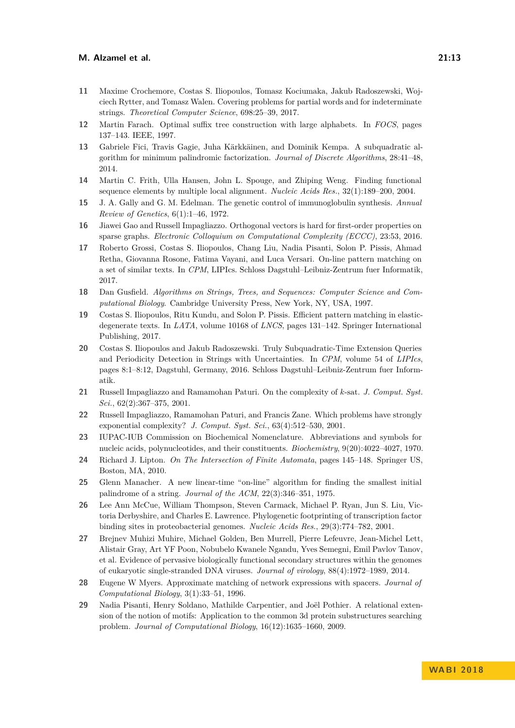- <span id="page-12-0"></span>**11** Maxime Crochemore, Costas S. Iliopoulos, Tomasz Kociumaka, Jakub Radoszewski, Wojciech Rytter, and Tomasz Walen. Covering problems for partial words and for indeterminate strings. *Theoretical Computer Science*, 698:25–39, 2017.
- <span id="page-12-15"></span>**12** Martin Farach. Optimal suffix tree construction with large alphabets. In *FOCS*, pages 137–143. IEEE, 1997.
- <span id="page-12-16"></span>**13** Gabriele Fici, Travis Gagie, Juha Kärkkäinen, and Dominik Kempa. A subquadratic algorithm for minimum palindromic factorization. *Journal of Discrete Algorithms*, 28:41–48, 2014.
- <span id="page-12-7"></span>**14** Martin C. Frith, Ulla Hansen, John L. Spouge, and Zhiping Weng. Finding functional sequence elements by multiple local alignment. *Nucleic Acids Res.*, 32(1):189–200, 2004.
- <span id="page-12-18"></span>**15** J. A. Gally and G. M. Edelman. The genetic control of immunoglobulin synthesis. *Annual Review of Genetics*, 6(1):1–46, 1972.
- <span id="page-12-17"></span>**16** Jiawei Gao and Russell Impagliazzo. Orthogonal vectors is hard for first-order properties on sparse graphs. *Electronic Colloquium on Computational Complexity (ECCC)*, 23:53, 2016.
- <span id="page-12-6"></span>**17** Roberto Grossi, Costas S. Iliopoulos, Chang Liu, Nadia Pisanti, Solon P. Pissis, Ahmad Retha, Giovanna Rosone, Fatima Vayani, and Luca Versari. On-line pattern matching on a set of similar texts. In *CPM*, LIPIcs. Schloss Dagstuhl–Leibniz-Zentrum fuer Informatik, 2017.
- <span id="page-12-11"></span>**18** Dan Gusfield. *Algorithms on Strings, Trees, and Sequences: Computer Science and Computational Biology*. Cambridge University Press, New York, NY, USA, 1997.
- <span id="page-12-4"></span>**19** Costas S. Iliopoulos, Ritu Kundu, and Solon P. Pissis. Efficient pattern matching in elasticdegenerate texts. In *LATA*, volume 10168 of *LNCS*, pages 131–142. Springer International Publishing, 2017.
- <span id="page-12-1"></span>**20** Costas S. Iliopoulos and Jakub Radoszewski. Truly Subquadratic-Time Extension Queries and Periodicity Detection in Strings with Uncertainties. In *CPM*, volume 54 of *LIPIcs*, pages 8:1–8:12, Dagstuhl, Germany, 2016. Schloss Dagstuhl–Leibniz-Zentrum fuer Informatik.
- <span id="page-12-13"></span>**21** Russell Impagliazzo and Ramamohan Paturi. On the complexity of *k*-sat. *J. Comput. Syst. Sci.*, 62(2):367–375, 2001.
- <span id="page-12-14"></span>**22** Russell Impagliazzo, Ramamohan Paturi, and Francis Zane. Which problems have strongly exponential complexity? *J. Comput. Syst. Sci.*, 63(4):512–530, 2001.
- <span id="page-12-3"></span>**23** IUPAC-IUB Commission on Biochemical Nomenclature. Abbreviations and symbols for nucleic acids, polynucleotides, and their constituents. *Biochemistry*, 9(20):4022–4027, 1970.
- <span id="page-12-12"></span>**24** Richard J. Lipton. *On The Intersection of Finite Automata*, pages 145–148. Springer US, Boston, MA, 2010.
- <span id="page-12-10"></span>**25** Glenn Manacher. A new linear-time "on-line" algorithm for finding the smallest initial palindrome of a string. *Journal of the ACM*, 22(3):346–351, 1975.
- <span id="page-12-8"></span>**26** Lee Ann McCue, William Thompson, Steven Carmack, Michael P. Ryan, Jun S. Liu, Victoria Derbyshire, and Charles E. Lawrence. Phylogenetic footprinting of transcription factor binding sites in proteobacterial genomes. *Nucleic Acids Res.*, 29(3):774–782, 2001.
- <span id="page-12-9"></span>**27** Brejnev Muhizi Muhire, Michael Golden, Ben Murrell, Pierre Lefeuvre, Jean-Michel Lett, Alistair Gray, Art YF Poon, Nobubelo Kwanele Ngandu, Yves Semegni, Emil Pavlov Tanov, et al. Evidence of pervasive biologically functional secondary structures within the genomes of eukaryotic single-stranded DNA viruses. *Journal of virology*, 88(4):1972–1989, 2014.
- <span id="page-12-5"></span>**28** Eugene W Myers. Approximate matching of network expressions with spacers. *Journal of Computational Biology*, 3(1):33–51, 1996.
- <span id="page-12-2"></span>**29** Nadia Pisanti, Henry Soldano, Mathilde Carpentier, and Joël Pothier. A relational extension of the notion of motifs: Application to the common 3d protein substructures searching problem. *Journal of Computational Biology*, 16(12):1635–1660, 2009.